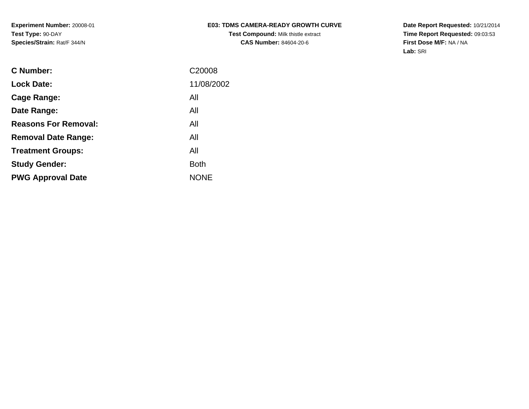# **E03: TDMS CAMERA-READY GROWTH CURVETest Compound:** Milk thistle extract**CAS Number:** 84604-20-6

**Date Report Requested:** 10/21/2014 **Time Report Requested:** 09:03:53**First Dose M/F:** NA / NA**Lab:** SRI

| <b>C</b> Number:            | C <sub>20008</sub> |
|-----------------------------|--------------------|
| <b>Lock Date:</b>           | 11/08/2002         |
| Cage Range:                 | All                |
| Date Range:                 | All                |
| <b>Reasons For Removal:</b> | All                |
| <b>Removal Date Range:</b>  | All                |
| <b>Treatment Groups:</b>    | All                |
| <b>Study Gender:</b>        | <b>Both</b>        |
| <b>PWG Approval Date</b>    | <b>NONE</b>        |
|                             |                    |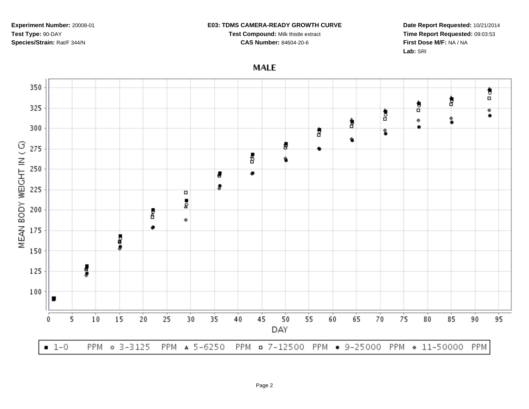#### **E03: TDMS CAMERA-READY GROWTH CURVE**

**Test Compound:** Milk thistle extract

**CAS Number:** 84604-20-6

**Date Report Requested:** 10/21/2014**Time Report Requested:** 09:03:53**First Dose M/F:** NA / NA**Lab:** SRI

**MALE** 

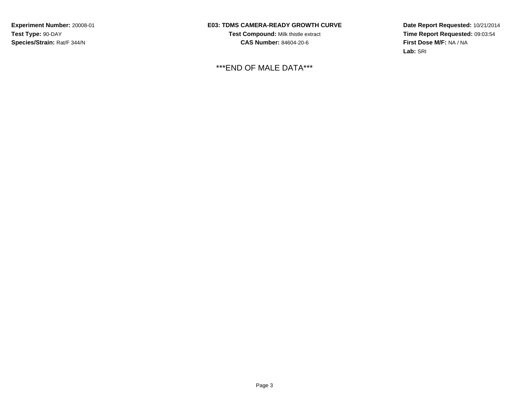## **E03: TDMS CAMERA-READY GROWTH CURVE**

**Test Compound:** Milk thistle extract**CAS Number:** 84604-20-6

\*\*\*END OF MALE DATA\*\*\*

**Date Report Requested:** 10/21/2014**Time Report Requested:** 09:03:54**First Dose M/F:** NA / NA**Lab:** SRI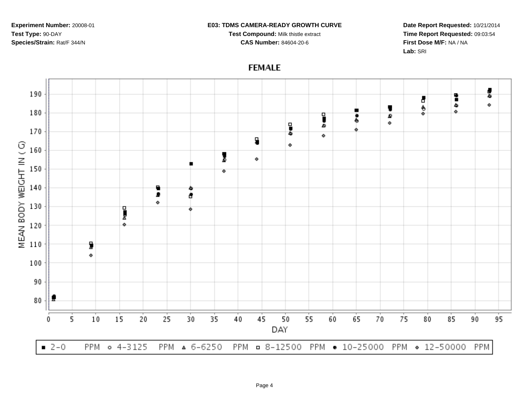#### **E03: TDMS CAMERA-READY GROWTH CURVE**

**Test Compound:** Milk thistle extract

**CAS Number:** 84604-20-6

**Date Report Requested:** 10/21/2014**Time Report Requested:** 09:03:54**First Dose M/F:** NA / NA**Lab:** SRI

# **FEMALE**

![](_page_3_Figure_6.jpeg)